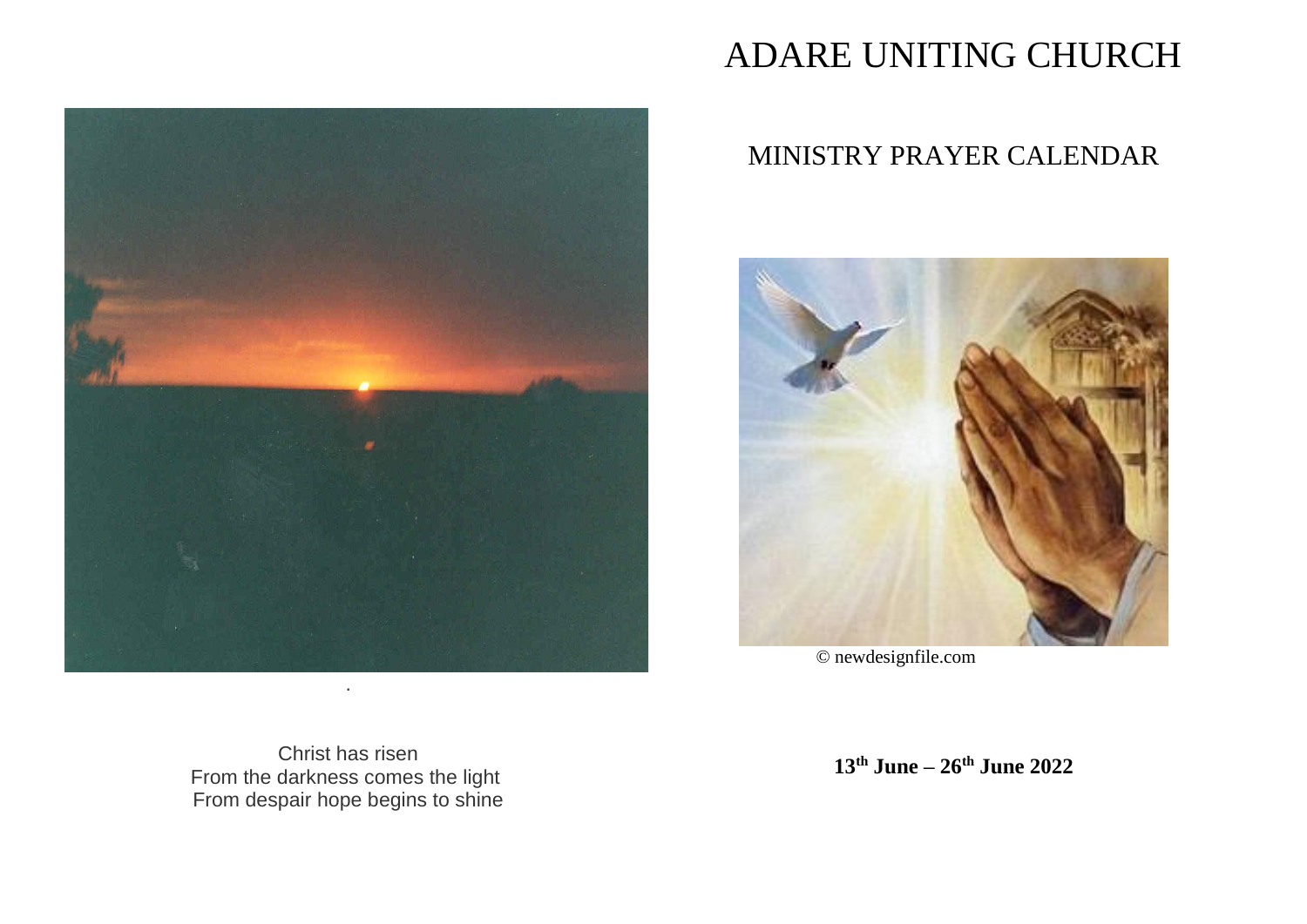

# ADARE UNITING CHURCH

# MINISTRY PRAYER CALENDAR



© newdesignfile.com

Christ has risen From the darkness comes the light From despair hope begins to shine

**13th June – 26th June 2022**